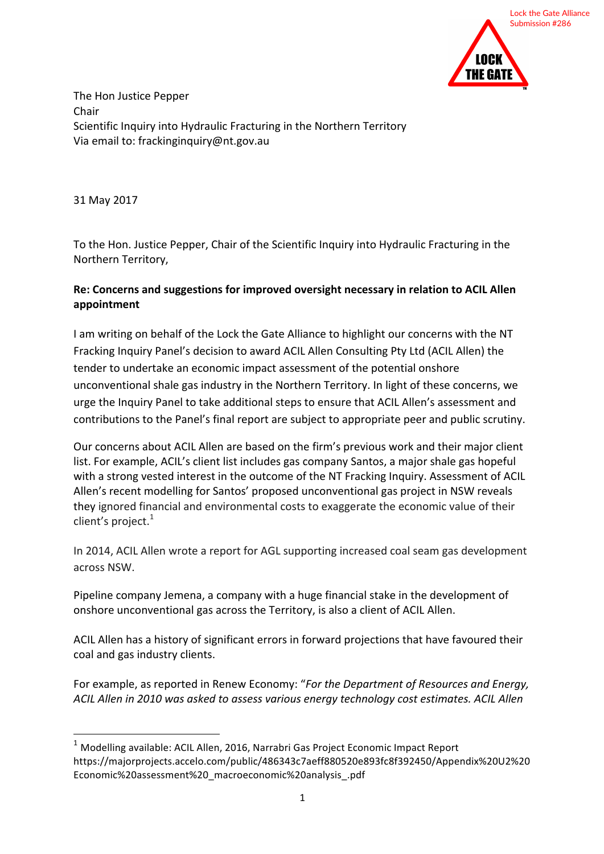

The Hon Justice Pepper Chair Scientific Inquiry into Hydraulic Fracturing in the Northern Territory Via email to: frackinginquiry@nt.gov.au

31 May 2017

To the Hon. Justice Pepper, Chair of the Scientific Inquiry into Hydraulic Fracturing in the Northern Territory, 

## Re: Concerns and suggestions for improved oversight necessary in relation to ACIL Allen **appointment**

I am writing on behalf of the Lock the Gate Alliance to highlight our concerns with the NT Fracking Inquiry Panel's decision to award ACIL Allen Consulting Pty Ltd (ACIL Allen) the tender to undertake an economic impact assessment of the potential onshore unconventional shale gas industry in the Northern Territory. In light of these concerns, we urge the Inquiry Panel to take additional steps to ensure that ACIL Allen's assessment and contributions to the Panel's final report are subject to appropriate peer and public scrutiny.

Our concerns about ACIL Allen are based on the firm's previous work and their major client list. For example, ACIL's client list includes gas company Santos, a major shale gas hopeful with a strong vested interest in the outcome of the NT Fracking Inquiry. Assessment of ACIL Allen's recent modelling for Santos' proposed unconventional gas project in NSW reveals they ignored financial and environmental costs to exaggerate the economic value of their client's project. $1$ 

In 2014, ACIL Allen wrote a report for AGL supporting increased coal seam gas development across NSW

Pipeline company Jemena, a company with a huge financial stake in the development of onshore unconventional gas across the Territory, is also a client of ACIL Allen.

ACIL Allen has a history of significant errors in forward projections that have favoured their coal and gas industry clients.

For example, as reported in Renew Economy: "For the Department of Resources and Energy, ACIL Allen in 2010 was asked to assess various energy technology cost estimates. ACIL Allen

 $1$  Modelling available: ACIL Allen, 2016, Narrabri Gas Project Economic Impact Report https://majorprojects.accelo.com/public/486343c7aeff880520e893fc8f392450/Appendix%20U2%20 Economic%20assessment%20\_macroeconomic%20analysis\_.pdf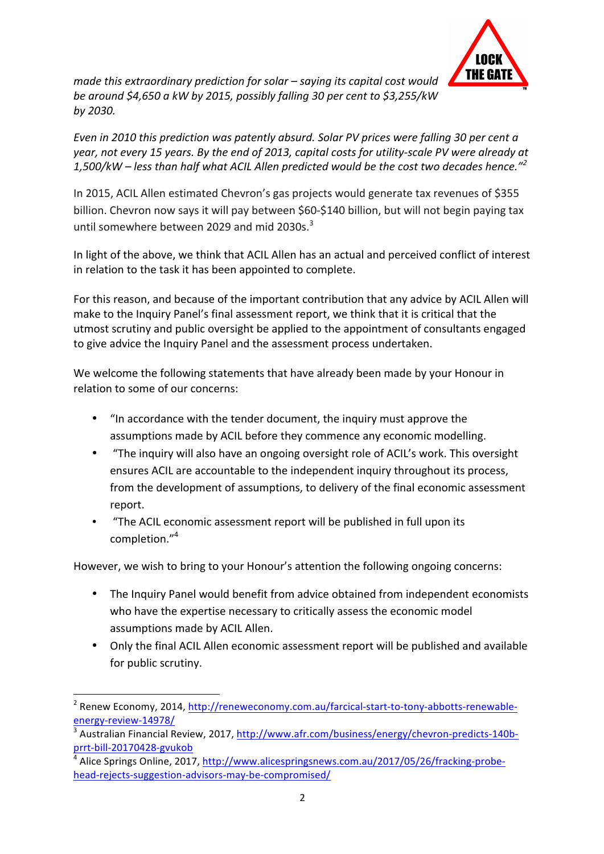

*made this extraordinary prediction for solar – saying its capital cost would be around* \$4,650 a kW by 2015, possibly falling 30 per cent to \$3,255/kW *by 2030.*

*Even in 2010 this prediction was patently absurd. Solar PV prices were falling 30 per cent a* year, not every 15 years. By the end of 2013, capital costs for utility-scale PV were already at 1,500/kW – less than half what ACIL Allen predicted would be the cost two decades hence.<sup>"<sup>2</sup></sup>

In 2015, ACIL Allen estimated Chevron's gas projects would generate tax revenues of \$355 billion. Chevron now says it will pay between \$60-\$140 billion, but will not begin paying tax until somewhere between 2029 and mid 2030s. $^3$ 

In light of the above, we think that ACIL Allen has an actual and perceived conflict of interest in relation to the task it has been appointed to complete.

For this reason, and because of the important contribution that any advice by ACIL Allen will make to the Inquiry Panel's final assessment report, we think that it is critical that the utmost scrutiny and public oversight be applied to the appointment of consultants engaged to give advice the Inquiry Panel and the assessment process undertaken.

We welcome the following statements that have already been made by your Honour in relation to some of our concerns:

- "In accordance with the tender document, the inquiry must approve the assumptions made by ACIL before they commence any economic modelling.
- "The inquiry will also have an ongoing oversight role of ACIL's work. This oversight ensures ACIL are accountable to the independent inquiry throughout its process, from the development of assumptions, to delivery of the final economic assessment report.
- "The ACIL economic assessment report will be published in full upon its completion."4

However, we wish to bring to your Honour's attention the following ongoing concerns:

- The Inquiry Panel would benefit from advice obtained from independent economists who have the expertise necessary to critically assess the economic model assumptions made by ACIL Allen.
- Only the final ACIL Allen economic assessment report will be published and available for public scrutiny.

 $2$  Renew Economy, 2014, http://reneweconomy.com.au/farcical-start-to-tony-abbotts-renewableenergy-review-14978/

<sup>&</sup>lt;sup>3</sup> Australian Financial Review, 2017, http://www.afr.com/business/energy/chevron-predicts-140bprrt-bill-20170428-gvukob

<sup>&</sup>lt;sup>4</sup> Alice Springs Online, 2017, http://www.alicespringsnews.com.au/2017/05/26/fracking-probehead-rejects-suggestion-advisors-may-be-compromised/